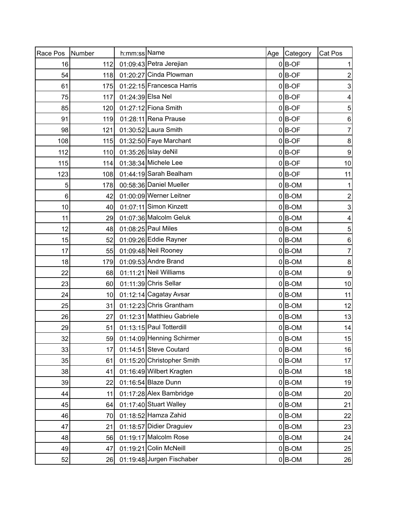| Race Pos | Number          | h:mm:ss Name      |                            | Age | Category  | Cat Pos          |
|----------|-----------------|-------------------|----------------------------|-----|-----------|------------------|
| 16       | 112             |                   | 01:09:43 Petra Jerejian    |     | $0 B$ -OF | 1                |
| 54       | 118             |                   | 01:20:27 Cinda Plowman     |     | $0 B-OF$  | 2                |
| 61       | 175             |                   | 01:22:15 Francesca Harris  |     | $0 B-OF$  | 3                |
| 75       | 117             | 01:24:39 Elsa Nel |                            |     | $0 B$ -OF | 4                |
| 85       | 120             |                   | 01:27:12 Fiona Smith       |     | $0$ B-OF  | $\sqrt{5}$       |
| 91       | 119             |                   | 01:28:11 Rena Prause       |     | $0$ B-OF  | $\,6$            |
| 98       | 121             |                   | 01:30:52 Laura Smith       |     | $0 B$ -OF | $\boldsymbol{7}$ |
| 108      | 115             |                   | 01:32:50 Faye Marchant     |     | $0 B$ -OF | $\bf 8$          |
| 112      | 110             |                   | 01:35:26 Islay deNil       |     | $0 B$ -OF | $\overline{9}$   |
| 115      | 114             |                   | 01:38:34 Michele Lee       |     | $0 B$ -OF | 10               |
| 123      | 108             |                   | 01:44:19 Sarah Bealham     |     | $0 B$ -OF | 11               |
| 5        | 178             |                   | 00:58:36 Daniel Mueller    |     | $0 B-OM$  | 1                |
| 6        | 42              |                   | 01:00:09 Werner Leitner    |     | $0 B-OM$  | $\boldsymbol{2}$ |
| 10       | 40I             |                   | 01:07:11 Simon Kinzett     |     | $0 B$ -OM | 3                |
| 11       | 29              |                   | 01:07:36 Malcolm Geluk     |     | $0 B-OM$  | 4                |
| 12       | 48              |                   | 01:08:25 Paul Miles        |     | $0 B-OM$  | 5                |
| 15       | 52              |                   | 01:09:26 Eddie Rayner      |     | $0 B-OM$  | $\,6$            |
| 17       | 55              |                   | 01:09:48 Neil Rooney       |     | $0 B-OM$  | $\boldsymbol{7}$ |
| 18       | 179             |                   | 01:09:53 Andre Brand       |     | $0 B-OM$  | $\bf 8$          |
| 22       | 68              |                   | 01:11:21 Neil Williams     |     | $0 B-OM$  | $\overline{9}$   |
| 23       | 60              |                   | 01:11:39 Chris Sellar      |     | $0 B-OM$  | 10               |
| 24       | 10 <sup>1</sup> |                   | 01:12:14 Cagatay Avsar     |     | $0 B-OM$  | 11               |
| 25       | 31              |                   | 01:12:23 Chris Grantham    |     | $0 B-OM$  | 12               |
| 26       | 27              |                   | 01:12:31 Matthieu Gabriele |     | $0 B-OM$  | 13               |
| 29       | 51              |                   | 01:13:15 Paul Totterdill   |     | $0 B$ -OM | 14               |
| 32       | 59              |                   | 01:14:09 Henning Schirmer  |     | $0 B-OM$  | 15               |
| 33       | 17              |                   | 01:14:51 Steve Coutard     |     | $0 B-OM$  | 16               |
| 35       | 61              |                   | 01:15:20 Christopher Smith |     | $0 B-OM$  | 17               |
| 38       | 41              |                   | 01:16:49 Wilbert Kragten   |     | $0 B$ -OM | 18               |
| 39       | 22              |                   | 01:16:54 Blaze Dunn        |     | $0 B$ -OM | 19               |
| 44       | 11              |                   | 01:17:28 Alex Bambridge    |     | $0 B-OM$  | 20               |
| 45       | 64              |                   | 01:17:40 Stuart Walley     |     | $0 B-OM$  | 21               |
| 46       | 70              |                   | 01:18:52 Hamza Zahid       |     | $0 B-OM$  | 22               |
| 47       | 21              |                   | 01:18:57 Didier Draguiev   |     | $0 B-OM$  | 23               |
| 48       | 56              |                   | 01:19:17 Malcolm Rose      |     | $0 B-OM$  | 24               |
| 49       | 47              |                   | 01:19:21 Colin McNeill     |     | $0 B$ -OM | 25               |
| 52       | 26              |                   | 01:19:48 Jurgen Fischaber  |     | $0 B$ -OM | 26               |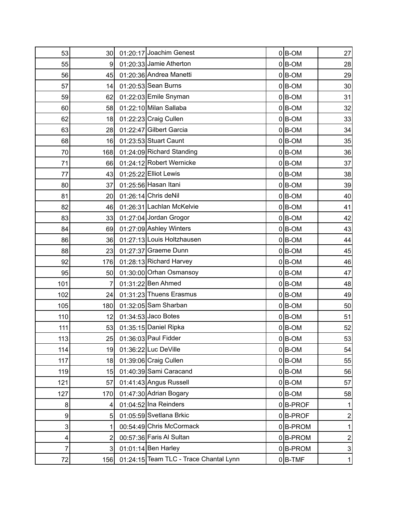| 53  | 30 <sup>1</sup> | 01:20:17 Joachim Genest                | $0 B-OM$   | 27                      |
|-----|-----------------|----------------------------------------|------------|-------------------------|
| 55  | 9               | 01:20:33 Jamie Atherton                | $0 B$ -OM  | 28                      |
| 56  | 45              | 01:20:36 Andrea Manetti                | $0 B-OM$   | 29                      |
| 57  | 14              | 01:20:53 Sean Burns                    | $0 B$ -OM  | 30 <sup>°</sup>         |
| 59  | 62              | 01:22:03 Emile Snyman                  | $0 B$ -OM  | 31                      |
| 60  | 58              | 01:22:10 Milan Sallaba                 | $0 B-OM$   | 32                      |
| 62  | 18              | 01:22:23 Craig Cullen                  | $0 B$ -OM  | 33                      |
| 63  | 28              | 01:22:47 Gilbert Garcia                | $0 B-OM$   | 34                      |
| 68  | 16              | 01:23:53 Stuart Caunt                  | $0 B$ -OM  | 35                      |
| 70  | 168             | 01:24:09 Richard Standing              | $0 B-OM$   | 36                      |
| 71  | 66              | 01:24:12 Robert Wernicke               | $0 B-OM$   | 37                      |
| 77  | 43              | 01:25:22 Elliot Lewis                  | $0 B$ -OM  | 38                      |
| 80  | 37              | 01:25:56 Hasan Itani                   | $0 B-OM$   | 39                      |
| 81  | 20 <sub>l</sub> | 01:26:14 Chris deNil                   | $0 B-OM$   | 40                      |
| 82  | 46              | 01:26:31 Lachlan McKelvie              | $0 B$ -OM  | 41                      |
| 83  | 33              | 01:27:04 Jordan Grogor                 | $0 B$ -OM  | 42                      |
| 84  | 69              | 01:27:09 Ashley Winters                | $0 B$ -OM  | 43                      |
| 86  | 36              | 01:27:13 Louis Holtzhausen             | $0 B$ -OM  | 44                      |
| 88  | 23              | 01:27:37 Graeme Dunn                   | $0 B-OM$   | 45                      |
| 92  | 176             | 01:28:13 Richard Harvey                | $0 B-OM$   | 46                      |
| 95  | 50              | 01:30:00 Orhan Osmansoy                | $0 B$ -OM  | 47                      |
| 101 | 7               | 01:31:22 Ben Ahmed                     | $0 B$ -OM  | 48                      |
| 102 | 24              | 01:31:23 Thuens Erasmus                | $0 B-OM$   | 49                      |
| 105 | 180             | 01:32:05 Sam Sharban                   | $0 B$ -OM  | 50                      |
| 110 | 12              | 01:34:53 Jaco Botes                    | $0 B-OM$   | 51                      |
| 111 | 53              | 01:35:15 Daniel Ripka                  | $0 B$ -OM  | 52                      |
| 113 | 25              | 01:36:03 Paul Fidder                   | $0 B-OM$   | 53                      |
| 114 | 19              | 01:36:22 Luc DeVille                   | $0 B-OM$   | 54                      |
| 117 | 18              | 01:39:06 Craig Cullen                  | $0 B-OM$   | 55                      |
| 119 | 15              | 01:40:39 Sami Caracand                 | $0 B-OM$   | 56                      |
| 121 | 57              | 01:41:43 Angus Russell                 | $0 B-OM$   | 57                      |
| 127 | 170             | 01:47:30 Adrian Bogary                 | $0 B-OM$   | 58                      |
| 8   | $\vert 4 \vert$ | 01:04:52 Ina Reinders                  | $0$ B-PROF | 1                       |
| 9   | 5 <sup>1</sup>  | 01:05:59 Svetlana Brkic                | $0$ B-PROF | $\overline{\mathbf{c}}$ |
| 3   |                 | 00:54:49 Chris McCormack               | $0 B-PROM$ | 1                       |
| 4   | 2               | 00:57:36 Faris Al Sultan               | $0 B-PROM$ | $\mathbf{2}$            |
| 7   | 3 <sup>1</sup>  | $01:01:14$ Ben Harley                  | $0 B-PROM$ | $\overline{3}$          |
| 72  | 156             | 01:24:15 Team TLC - Trace Chantal Lynn | $0$ B-TMF  | $\mathbf{1}$            |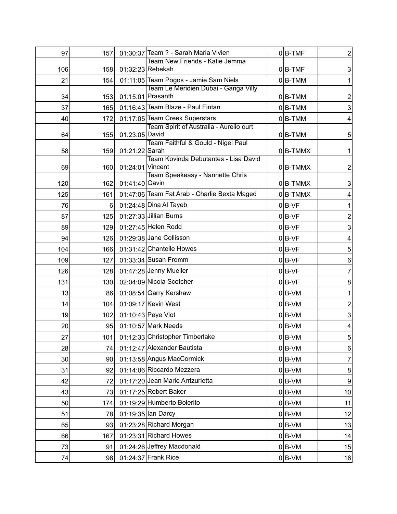| 97  | 157 |                  | 01:30:37 Team ? - Sarah Maria Vivien               | $0$ B-TMF  | $\overline{2}$   |
|-----|-----|------------------|----------------------------------------------------|------------|------------------|
|     |     |                  | Team New Friends - Katie Jemma<br>01:32:23 Rebekah |            |                  |
| 106 | 158 |                  | 01:11:05 Team Pogos - Jamie Sam Niels              | $0$ B-TMF  | 3                |
| 21  | 154 |                  | Team Le Meridien Dubai - Ganga Villy               | $0 B-TMM$  |                  |
| 34  | 153 |                  | 01:15:01 Prasanth                                  | $0 B-TMM$  | 2                |
| 37  | 165 |                  | 01:16:43 Team Blaze - Paul Fintan                  | $0 B-TMM$  | 3                |
| 40  | 172 |                  | 01:17:05 Team Creek Superstars                     | $0 B-TMM$  | 4                |
| 64  | 155 | 01:23:05 David   | Team Spirit of Australia - Aurelio ourt            | $0 B-TMM$  | 5                |
|     |     |                  | Team Faithful & Gould - Nigel Paul                 |            |                  |
| 58  | 159 | 01:21:22 Sarah   |                                                    | $0 B-TMMX$ |                  |
| 69  | 160 | 01:24:01 Vincent | Team Kovinda Debutantes - Lisa David               | $0 B-TMMX$ | 2                |
|     |     |                  | Team Speakeasy - Nannette Chris                    |            |                  |
| 120 | 162 | 01:41:40 Gavin   |                                                    | $0 B-TMMX$ | 3                |
| 125 | 161 |                  | 01:47:06 Team Fat Arab - Charlie Bexta Maged       | $0$ B-TMMX | 4                |
| 76  | 6   |                  | 01:24:48 Dina Al Tayeb                             | $0 B-VF$   |                  |
| 87  | 125 |                  | 01:27:33 Jillian Burns                             | $0$ B-VF   | 2                |
| 89  | 129 |                  | 01:27:45 Helen Rodd                                | $0 B-VF$   | 3                |
| 94  | 126 |                  | 01:29:38 Jane Collisson                            | $0 B-VF$   | 4                |
| 104 | 166 |                  | 01:31:42 Chantelle Howes                           | $0 B-VF$   | 5                |
| 109 | 127 |                  | 01:33:34 Susan Fromm                               | $0$ B-VF   | 6                |
| 126 | 128 |                  | 01:47:28 Jenny Mueller                             | $0$ B-VF   | 7                |
| 131 | 130 |                  | 02:04:09 Nicola Scotcher                           | $0 B-VF$   | 8                |
| 13  | 86  |                  | 01:08:54 Garry Kershaw                             | $0 B-VM$   |                  |
| 14  | 104 |                  | 01:09:17 Kevin West                                | $0 B-VM$   | 2                |
| 19  | 102 |                  | 01:10:43 Peye Vlot                                 | $0 B-VM$   | 3                |
| 20  | 95  |                  | 01:10:57 Mark Needs                                | $0 B-VM$   | 4                |
| 27  | 101 |                  | 01:12:33 Christopher Timberlake                    | $0$ B-VM   | $\sqrt{5}$       |
| 28  | 74  |                  | 01:12:47 Alexander Bautista                        | $0 B-VM$   | 6                |
| 30  | 90  |                  | 01:13:58 Angus MacCormick                          | $0 B-VM$   | 7                |
| 31  | 92  |                  | 01:14:06 Riccardo Mezzera                          | $0 B-VM$   | $\bf 8$          |
| 42  | 72  |                  | 01:17:20 Jean Marie Arrizurietta                   | $0 B-VM$   | $\boldsymbol{9}$ |
| 43  | 73  |                  | 01:17:25 Robert Baker                              | $0 B-VM$   | 10               |
| 50  | 174 |                  | 01:19:29 Humberto Bolerito                         | $0 B-VM$   | 11               |
| 51  | 78  |                  | 01:19:35 lan Darcy                                 | $0 B-VM$   | 12               |
| 65  | 93  |                  | 01:23:28 Richard Morgan                            | $0 B-VM$   | 13               |
| 66  | 167 |                  | 01:23:31 Richard Howes                             | $0 B-VM$   | 14               |
| 73  | 91  |                  | 01:24:26 Jeffrey Macdonald                         | $0 B-VM$   | 15               |
| 74  | 98  |                  | 01:24:37 Frank Rice                                | $0 B-VM$   | 16               |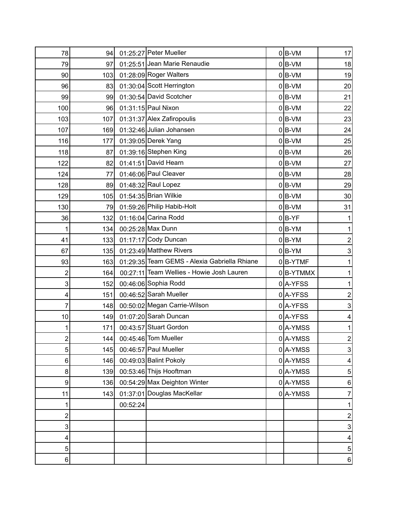| 78             | 94  |          | 01:25:27 Peter Mueller                       | $0 B-VM$     | 17               |
|----------------|-----|----------|----------------------------------------------|--------------|------------------|
| 79             | 97  |          | 01:25:51 Jean Marie Renaudie                 | $0 B-VM$     | 18               |
| 90             | 103 |          | 01:28:09 Roger Walters                       | $0 B-VM$     | 19               |
| 96             | 83  |          | 01:30:04 Scott Herrington                    | $0 B-VM$     | 20               |
| 99             | 99  |          | 01:30:54 David Scotcher                      | $0 B-VM$     | 21               |
| 100            | 96  |          | 01:31:15 Paul Nixon                          | $0 B-VM$     | 22               |
| 103            | 107 |          | 01:31:37 Alex Zafiropoulis                   | $0 B-VM$     | 23               |
| 107            | 169 |          | 01:32:46 Julian Johansen                     | $0 B-VM$     | 24               |
| 116            | 177 |          | 01:39:05 Derek Yang                          | $0 B-VM$     | 25               |
| 118            | 87  |          | 01:39:16 Stephen King                        | $0 B-VM$     | 26               |
| 122            | 82  |          | 01:41:51 David Hearn                         | $0 B-VM$     | 27               |
| 124            | 77  |          | 01:46:06 Paul Cleaver                        | $0 B-VM$     | 28               |
| 128            | 89  |          | 01:48:32 Raul Lopez                          | $0 B-VM$     | 29               |
| 129            | 105 |          | 01:54:35 Brian Wilkie                        | $0 B-VM$     | 30 <sup>°</sup>  |
| 130            | 79  |          | 01:59:26 Philip Habib-Holt                   | $0 B-VM$     | 31               |
| 36             | 132 |          | 01:16:04 Carina Rodd                         | $0 B-YF$     | 1                |
| 1              | 134 |          | 00:25:28 Max Dunn                            | $0 B-YM$     | 1                |
| 41             | 133 |          | $01:17:17$ Cody Duncan                       | $0 B-YM$     | $\mathbf 2$      |
| 67             | 135 |          | 01:23:49 Matthew Rivers                      | $0 B-YM$     | 3                |
| 93             | 163 |          | 01:29:35 Team GEMS - Alexia Gabriella Rhiane | $0$ B-YTMF   | 1                |
| $\overline{c}$ | 164 |          | 00:27:11 Team Wellies - Howie Josh Lauren    | $0$  B-YTMMX | 1                |
| 3              | 152 |          | 00:46:06 Sophia Rodd                         | 0A-YFSS      | 1                |
| 4              | 151 |          | 00:46:52 Sarah Mueller                       | 0A-YFSS      | $\boldsymbol{2}$ |
| 7              | 148 |          | 00:50:02 Megan Carrie-Wilson                 | $0$  A-YFSS  | 3                |
| 10             | 149 |          | 01:07:20 Sarah Duncan                        | 0A-YFSS      | 4                |
| 1              | 171 |          | 00:43:57 Stuart Gordon                       | 0A-YMSS      | 1                |
| 2              | 144 |          | 00:45:46 Tom Mueller                         | 0A-YMSS      | $\overline{2}$   |
| 5              | 145 |          | 00:46:57 Paul Mueller                        | 0A-YMSS      | $\overline{3}$   |
| 6              | 146 |          | 00:49:03 Balint Pokoly                       | $0$  A-YMSS  | 4                |
| 8              | 139 |          | 00:53:46 Thijs Hooftman                      | $0$  A-YMSS  | $\overline{5}$   |
| 9              | 136 |          | 00:54:29 Max Deighton Winter                 | $0$  A-YMSS  | 6                |
| 11             | 143 |          | 01:37:01 Douglas MacKellar                   | $0$  A-YMSS  | 7                |
| 1              |     | 00:52:24 |                                              |              | 1                |
| $\overline{c}$ |     |          |                                              |              | 2                |
| 3              |     |          |                                              |              | 3                |
| 4              |     |          |                                              |              | 4                |
| 5              |     |          |                                              |              | $\overline{5}$   |
| 6              |     |          |                                              |              | 6                |